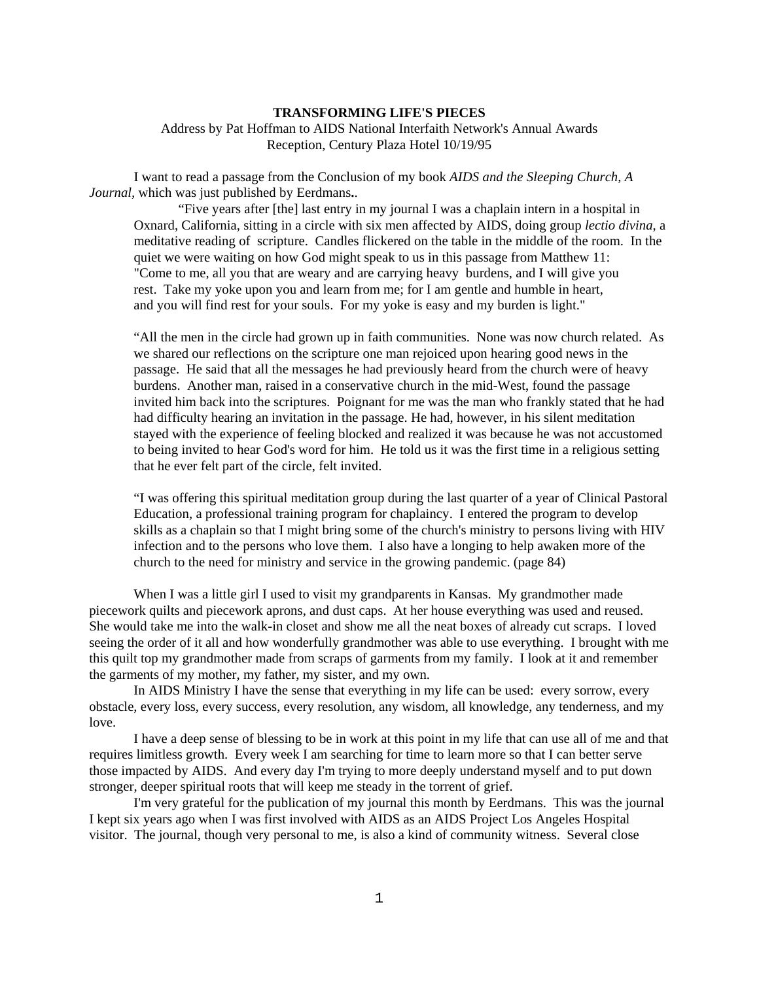## **TRANSFORMING LIFE'S PIECES** Address by Pat Hoffman to AIDS National Interfaith Network's Annual Awards Reception, Century Plaza Hotel 10/19/95

I want to read a passage from the Conclusion of my book *AIDS and the Sleeping Church, A Journal,* which was just published by Eerdmans**.**.

"Five years after [the] last entry in my journal I was a chaplain intern in a hospital in Oxnard, California, sitting in a circle with six men affected by AIDS, doing group *lectio divina*, a meditative reading of scripture. Candles flickered on the table in the middle of the room. In the quiet we were waiting on how God might speak to us in this passage from Matthew 11: "Come to me, all you that are weary and are carrying heavy burdens, and I will give you rest. Take my yoke upon you and learn from me; for I am gentle and humble in heart, and you will find rest for your souls. For my yoke is easy and my burden is light."

"All the men in the circle had grown up in faith communities. None was now church related. As we shared our reflections on the scripture one man rejoiced upon hearing good news in the passage. He said that all the messages he had previously heard from the church were of heavy burdens. Another man, raised in a conservative church in the mid-West, found the passage invited him back into the scriptures. Poignant for me was the man who frankly stated that he had had difficulty hearing an invitation in the passage. He had, however, in his silent meditation stayed with the experience of feeling blocked and realized it was because he was not accustomed to being invited to hear God's word for him. He told us it was the first time in a religious setting that he ever felt part of the circle, felt invited.

"I was offering this spiritual meditation group during the last quarter of a year of Clinical Pastoral Education, a professional training program for chaplaincy. I entered the program to develop skills as a chaplain so that I might bring some of the church's ministry to persons living with HIV infection and to the persons who love them. I also have a longing to help awaken more of the church to the need for ministry and service in the growing pandemic. (page 84)

When I was a little girl I used to visit my grandparents in Kansas. My grandmother made piecework quilts and piecework aprons, and dust caps. At her house everything was used and reused. She would take me into the walk-in closet and show me all the neat boxes of already cut scraps. I loved seeing the order of it all and how wonderfully grandmother was able to use everything. I brought with me this quilt top my grandmother made from scraps of garments from my family. I look at it and remember the garments of my mother, my father, my sister, and my own.

In AIDS Ministry I have the sense that everything in my life can be used: every sorrow, every obstacle, every loss, every success, every resolution, any wisdom, all knowledge, any tenderness, and my love.

I have a deep sense of blessing to be in work at this point in my life that can use all of me and that requires limitless growth. Every week I am searching for time to learn more so that I can better serve those impacted by AIDS. And every day I'm trying to more deeply understand myself and to put down stronger, deeper spiritual roots that will keep me steady in the torrent of grief.

I'm very grateful for the publication of my journal this month by Eerdmans. This was the journal I kept six years ago when I was first involved with AIDS as an AIDS Project Los Angeles Hospital visitor. The journal, though very personal to me, is also a kind of community witness. Several close